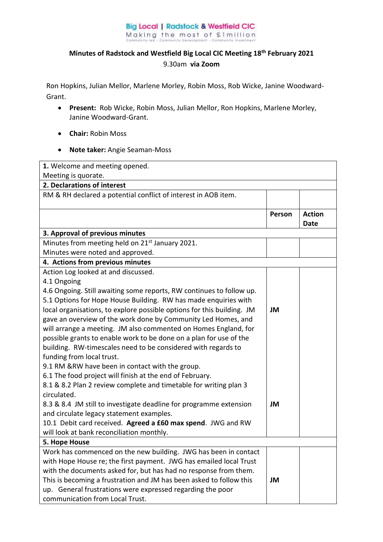## **Big Local | Radstock & Westfield CIC** Making the most of £1million

## **Minutes of Radstock and Westfield Big Local CIC Meeting 18th February 2021**  9.30am **via Zoom**

Ron Hopkins, Julian Mellor, Marlene Morley, Robin Moss, Rob Wicke, Janine Woodward-Grant.

- **Present:** Rob Wicke, Robin Moss, Julian Mellor, Ron Hopkins, Marlene Morley, Janine Woodward-Grant.
- **Chair:** Robin Moss
- **Note taker:** Angie Seaman-Moss

| 1. Welcome and meeting opened.                                         |        |               |
|------------------------------------------------------------------------|--------|---------------|
| Meeting is quorate.                                                    |        |               |
| 2. Declarations of interest                                            |        |               |
| RM & RH declared a potential conflict of interest in AOB item.         |        |               |
|                                                                        |        |               |
|                                                                        | Person | <b>Action</b> |
|                                                                        |        | <b>Date</b>   |
| 3. Approval of previous minutes                                        |        |               |
| Minutes from meeting held on 21 <sup>st</sup> January 2021.            |        |               |
| Minutes were noted and approved.                                       |        |               |
| 4. Actions from previous minutes                                       |        |               |
| Action Log looked at and discussed.                                    |        |               |
| 4.1 Ongoing                                                            |        |               |
| 4.6 Ongoing. Still awaiting some reports, RW continues to follow up.   |        |               |
| 5.1 Options for Hope House Building. RW has made enquiries with        |        |               |
| local organisations, to explore possible options for this building. JM | JM     |               |
| gave an overview of the work done by Community Led Homes, and          |        |               |
| will arrange a meeting. JM also commented on Homes England, for        |        |               |
| possible grants to enable work to be done on a plan for use of the     |        |               |
| building. RW-timescales need to be considered with regards to          |        |               |
| funding from local trust.                                              |        |               |
| 9.1 RM & RW have been in contact with the group.                       |        |               |
| 6.1 The food project will finish at the end of February.               |        |               |
| 8.1 & 8.2 Plan 2 review complete and timetable for writing plan 3      |        |               |
| circulated.                                                            |        |               |
| 8.3 & 8.4 JM still to investigate deadline for programme extension     | JM     |               |
| and circulate legacy statement examples.                               |        |               |
| 10.1 Debit card received. Agreed a £60 max spend. JWG and RW           |        |               |
| will look at bank reconciliation monthly.                              |        |               |
| 5. Hope House                                                          |        |               |
| Work has commenced on the new building. JWG has been in contact        |        |               |
| with Hope House re; the first payment. JWG has emailed local Trust     |        |               |
| with the documents asked for, but has had no response from them.       |        |               |
| This is becoming a frustration and JM has been asked to follow this    | JM     |               |
| up. General frustrations were expressed regarding the poor             |        |               |
| communication from Local Trust.                                        |        |               |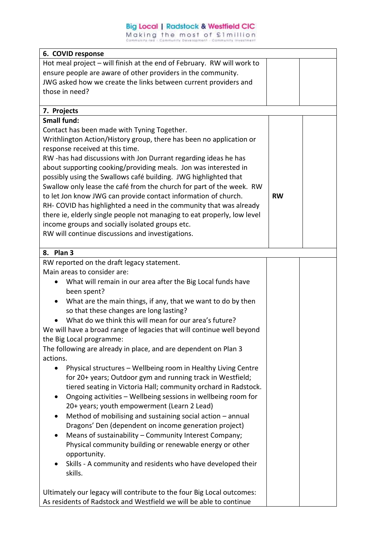## **Big Local | Radstock & Westfield CIC**

Making the most of £1million

| 6. COVID response                                                          |           |  |
|----------------------------------------------------------------------------|-----------|--|
| Hot meal project - will finish at the end of February. RW will work to     |           |  |
| ensure people are aware of other providers in the community.               |           |  |
| JWG asked how we create the links between current providers and            |           |  |
| those in need?                                                             |           |  |
|                                                                            |           |  |
| 7. Projects                                                                |           |  |
| <b>Small fund:</b>                                                         |           |  |
| Contact has been made with Tyning Together.                                |           |  |
| Writhlington Action/History group, there has been no application or        |           |  |
| response received at this time.                                            |           |  |
| RW-has had discussions with Jon Durrant regarding ideas he has             |           |  |
| about supporting cooking/providing meals. Jon was interested in            |           |  |
| possibly using the Swallows café building. JWG highlighted that            |           |  |
| Swallow only lease the café from the church for part of the week. RW       |           |  |
| to let Jon know JWG can provide contact information of church.             | <b>RW</b> |  |
| RH- COVID has highlighted a need in the community that was already         |           |  |
| there ie, elderly single people not managing to eat properly, low level    |           |  |
| income groups and socially isolated groups etc.                            |           |  |
| RW will continue discussions and investigations.                           |           |  |
| 8. Plan 3                                                                  |           |  |
| RW reported on the draft legacy statement.                                 |           |  |
| Main areas to consider are:                                                |           |  |
| What will remain in our area after the Big Local funds have                |           |  |
| been spent?                                                                |           |  |
| What are the main things, if any, that we want to do by then               |           |  |
| so that these changes are long lasting?                                    |           |  |
| What do we think this will mean for our area's future?                     |           |  |
| We will have a broad range of legacies that will continue well beyond      |           |  |
| the Big Local programme:                                                   |           |  |
| The following are already in place, and are dependent on Plan 3            |           |  |
| actions.                                                                   |           |  |
| Physical structures - Wellbeing room in Healthy Living Centre<br>$\bullet$ |           |  |
| for 20+ years; Outdoor gym and running track in Westfield;                 |           |  |
| tiered seating in Victoria Hall; community orchard in Radstock.            |           |  |
| Ongoing activities - Wellbeing sessions in wellbeing room for              |           |  |
| 20+ years; youth empowerment (Learn 2 Lead)                                |           |  |
| Method of mobilising and sustaining social action - annual                 |           |  |
| Dragons' Den (dependent on income generation project)                      |           |  |
| Means of sustainability - Community Interest Company;                      |           |  |
| Physical community building or renewable energy or other                   |           |  |
| opportunity.                                                               |           |  |
| Skills - A community and residents who have developed their                |           |  |
| skills.                                                                    |           |  |
|                                                                            |           |  |
| Ultimately our legacy will contribute to the four Big Local outcomes:      |           |  |
| As residents of Radstock and Westfield we will be able to continue         |           |  |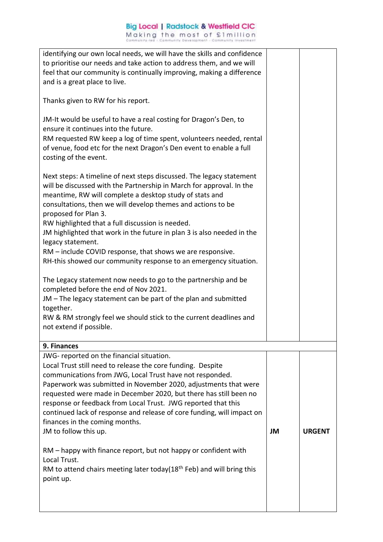| RM to attend chairs meeting later today(18 <sup>th</sup> Feb) and will bring this<br>point up.                                                                                                                                                                                                                                                                                                                                                                                                                                                                                       |    |               |
|--------------------------------------------------------------------------------------------------------------------------------------------------------------------------------------------------------------------------------------------------------------------------------------------------------------------------------------------------------------------------------------------------------------------------------------------------------------------------------------------------------------------------------------------------------------------------------------|----|---------------|
| RM – happy with finance report, but not happy or confident with<br>Local Trust.                                                                                                                                                                                                                                                                                                                                                                                                                                                                                                      |    |               |
| JWG- reported on the financial situation.<br>Local Trust still need to release the core funding. Despite<br>communications from JWG, Local Trust have not responded.<br>Paperwork was submitted in November 2020, adjustments that were<br>requested were made in December 2020, but there has still been no<br>response or feedback from Local Trust. JWG reported that this<br>continued lack of response and release of core funding, will impact on<br>finances in the coming months.<br>JM to follow this up.                                                                   | JM | <b>URGENT</b> |
| 9. Finances                                                                                                                                                                                                                                                                                                                                                                                                                                                                                                                                                                          |    |               |
| The Legacy statement now needs to go to the partnership and be<br>completed before the end of Nov 2021.<br>JM - The legacy statement can be part of the plan and submitted<br>together.<br>RW & RM strongly feel we should stick to the current deadlines and<br>not extend if possible.                                                                                                                                                                                                                                                                                             |    |               |
| Next steps: A timeline of next steps discussed. The legacy statement<br>will be discussed with the Partnership in March for approval. In the<br>meantime, RW will complete a desktop study of stats and<br>consultations, then we will develop themes and actions to be<br>proposed for Plan 3.<br>RW highlighted that a full discussion is needed.<br>JM highlighted that work in the future in plan 3 is also needed in the<br>legacy statement.<br>RM - include COVID response, that shows we are responsive.<br>RH-this showed our community response to an emergency situation. |    |               |
| JM-It would be useful to have a real costing for Dragon's Den, to<br>ensure it continues into the future.<br>RM requested RW keep a log of time spent, volunteers needed, rental<br>of venue, food etc for the next Dragon's Den event to enable a full<br>costing of the event.                                                                                                                                                                                                                                                                                                     |    |               |
| Thanks given to RW for his report.                                                                                                                                                                                                                                                                                                                                                                                                                                                                                                                                                   |    |               |
| identifying our own local needs, we will have the skills and confidence<br>to prioritise our needs and take action to address them, and we will<br>feel that our community is continually improving, making a difference<br>and is a great place to live.                                                                                                                                                                                                                                                                                                                            |    |               |